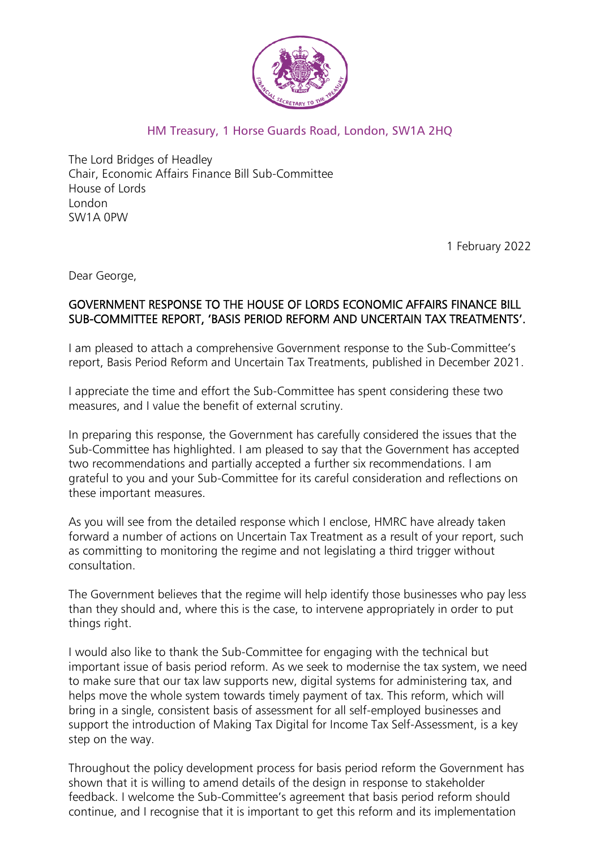

#### HM Treasury, 1 Horse Guards Road, London, SW1A 2HQ

The Lord Bridges of Headley Chair, Economic Affairs Finance Bill Sub-Committee House of Lords London SW1A 0PW

1 February 2022

Dear George,

#### GOVERNMENT RESPONSE TO THE HOUSE OF LORDS ECONOMIC AFFAIRS FINANCE BILL SUB-COMMITTEE REPORT, 'BASIS PERIOD REFORM AND UNCERTAIN TAX TREATMENTS'.

I am pleased to attach a comprehensive Government response to the Sub-Committee's report, Basis Period Reform and Uncertain Tax Treatments, published in December 2021.

I appreciate the time and effort the Sub-Committee has spent considering these two measures, and I value the benefit of external scrutiny.

In preparing this response, the Government has carefully considered the issues that the Sub-Committee has highlighted. I am pleased to say that the Government has accepted two recommendations and partially accepted a further six recommendations. I am grateful to you and your Sub-Committee for its careful consideration and reflections on these important measures.

As you will see from the detailed response which I enclose, HMRC have already taken forward a number of actions on Uncertain Tax Treatment as a result of your report, such as committing to monitoring the regime and not legislating a third trigger without consultation.

The Government believes that the regime will help identify those businesses who pay less than they should and, where this is the case, to intervene appropriately in order to put things right.

I would also like to thank the Sub-Committee for engaging with the technical but important issue of basis period reform. As we seek to modernise the tax system, we need to make sure that our tax law supports new, digital systems for administering tax, and helps move the whole system towards timely payment of tax. This reform, which will bring in a single, consistent basis of assessment for all self-employed businesses and support the introduction of Making Tax Digital for Income Tax Self-Assessment, is a key step on the way.

Throughout the policy development process for basis period reform the Government has shown that it is willing to amend details of the design in response to stakeholder feedback. I welcome the Sub-Committee's agreement that basis period reform should continue, and I recognise that it is important to get this reform and its implementation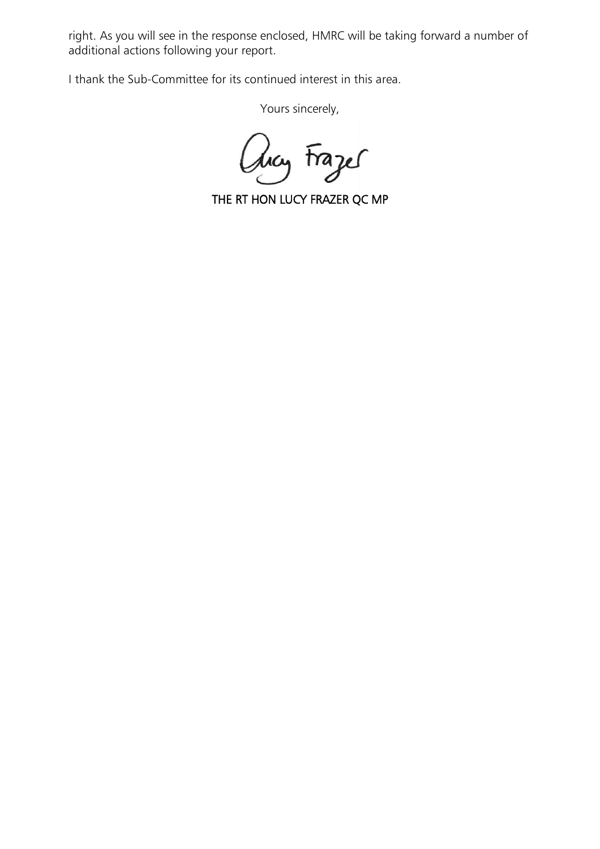right. As you will see in the response enclosed, HMRC will be taking forward a number of additional actions following your report.

I thank the Sub-Committee for its continued interest in this area.

Yours sincerely,

aug Frazer

J THE RT HON LUCY FRAZER QC MP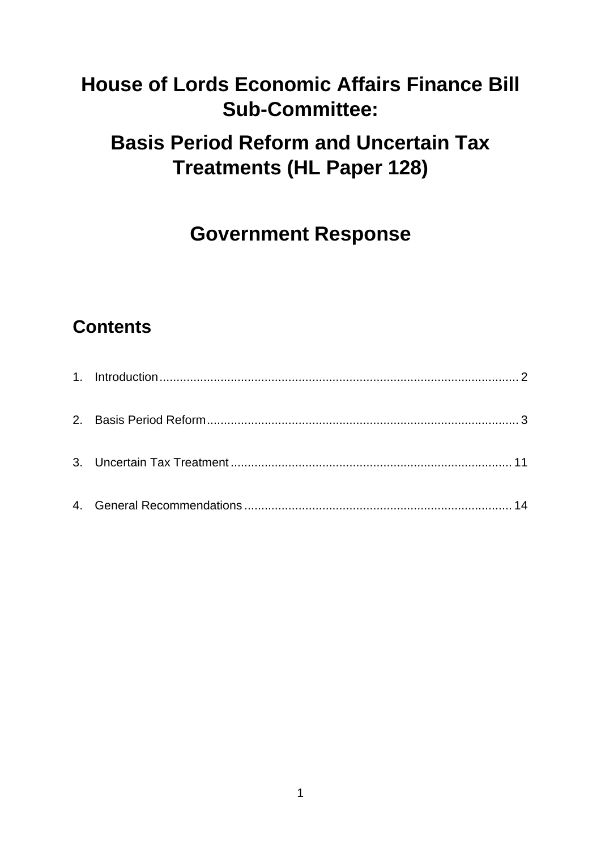# **House of Lords Economic Affairs Finance Bill Sub-Committee:**

# **Basis Period Reform and Uncertain Tax Treatments (HL Paper 128)**

# **Government Response**

# **Contents**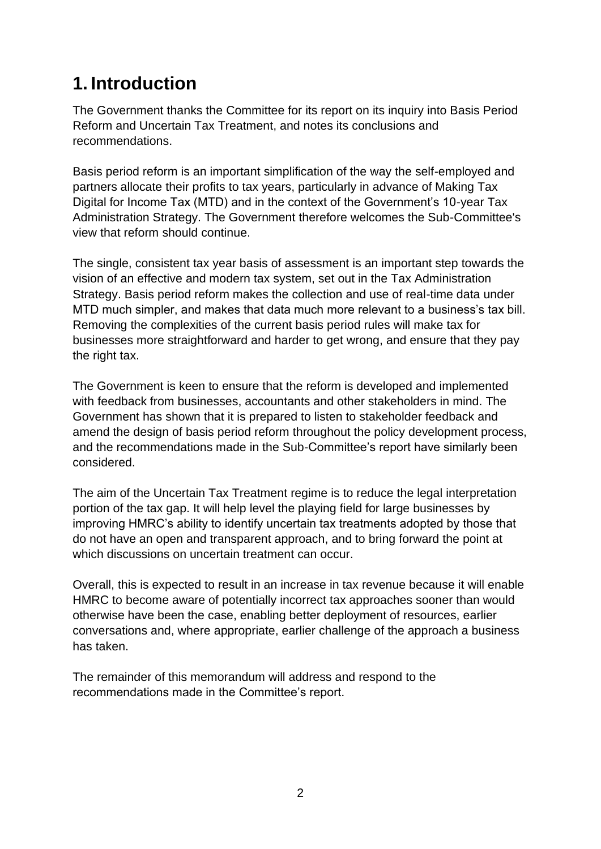## <span id="page-3-0"></span>**1. Introduction**

The Government thanks the Committee for its report on its inquiry into Basis Period Reform and Uncertain Tax Treatment, and notes its conclusions and recommendations.

Basis period reform is an important simplification of the way the self-employed and partners allocate their profits to tax years, particularly in advance of Making Tax Digital for Income Tax (MTD) and in the context of the Government's 10-year Tax Administration Strategy. The Government therefore welcomes the Sub-Committee's view that reform should continue.

The single, consistent tax year basis of assessment is an important step towards the vision of an effective and modern tax system, set out in the Tax Administration Strategy. Basis period reform makes the collection and use of real-time data under MTD much simpler, and makes that data much more relevant to a business's tax bill. Removing the complexities of the current basis period rules will make tax for businesses more straightforward and harder to get wrong, and ensure that they pay the right tax.

The Government is keen to ensure that the reform is developed and implemented with feedback from businesses, accountants and other stakeholders in mind. The Government has shown that it is prepared to listen to stakeholder feedback and amend the design of basis period reform throughout the policy development process, and the recommendations made in the Sub-Committee's report have similarly been considered.

The aim of the Uncertain Tax Treatment regime is to reduce the legal interpretation portion of the tax gap. It will help level the playing field for large businesses by improving HMRC's ability to identify uncertain tax treatments adopted by those that do not have an open and transparent approach, and to bring forward the point at which discussions on uncertain treatment can occur.

Overall, this is expected to result in an increase in tax revenue because it will enable HMRC to become aware of potentially incorrect tax approaches sooner than would otherwise have been the case, enabling better deployment of resources, earlier conversations and, where appropriate, earlier challenge of the approach a business has taken.

The remainder of this memorandum will address and respond to the recommendations made in the Committee's report.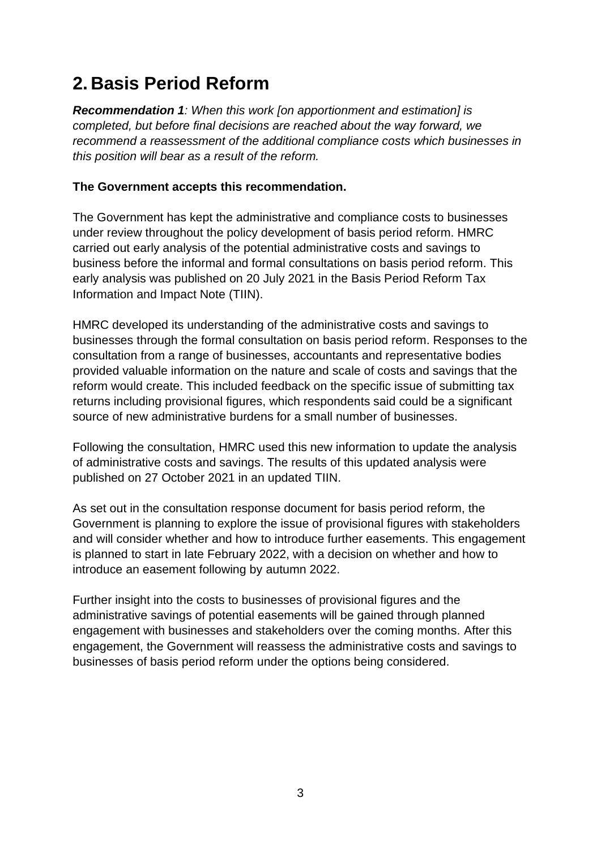## <span id="page-4-0"></span>**2. Basis Period Reform**

*Recommendation 1: When this work [on apportionment and estimation] is completed, but before final decisions are reached about the way forward, we recommend a reassessment of the additional compliance costs which businesses in this position will bear as a result of the reform.*

#### **The Government accepts this recommendation.**

The Government has kept the administrative and compliance costs to businesses under review throughout the policy development of basis period reform. HMRC carried out early analysis of the potential administrative costs and savings to business before the informal and formal consultations on basis period reform. This early analysis was published on 20 July 2021 in the Basis Period Reform Tax Information and Impact Note (TIIN).

HMRC developed its understanding of the administrative costs and savings to businesses through the formal consultation on basis period reform. Responses to the consultation from a range of businesses, accountants and representative bodies provided valuable information on the nature and scale of costs and savings that the reform would create. This included feedback on the specific issue of submitting tax returns including provisional figures, which respondents said could be a significant source of new administrative burdens for a small number of businesses.

Following the consultation, HMRC used this new information to update the analysis of administrative costs and savings. The results of this updated analysis were published on 27 October 2021 in an updated TIIN.

As set out in the consultation response document for basis period reform, the Government is planning to explore the issue of provisional figures with stakeholders and will consider whether and how to introduce further easements. This engagement is planned to start in late February 2022, with a decision on whether and how to introduce an easement following by autumn 2022.

Further insight into the costs to businesses of provisional figures and the administrative savings of potential easements will be gained through planned engagement with businesses and stakeholders over the coming months. After this engagement, the Government will reassess the administrative costs and savings to businesses of basis period reform under the options being considered.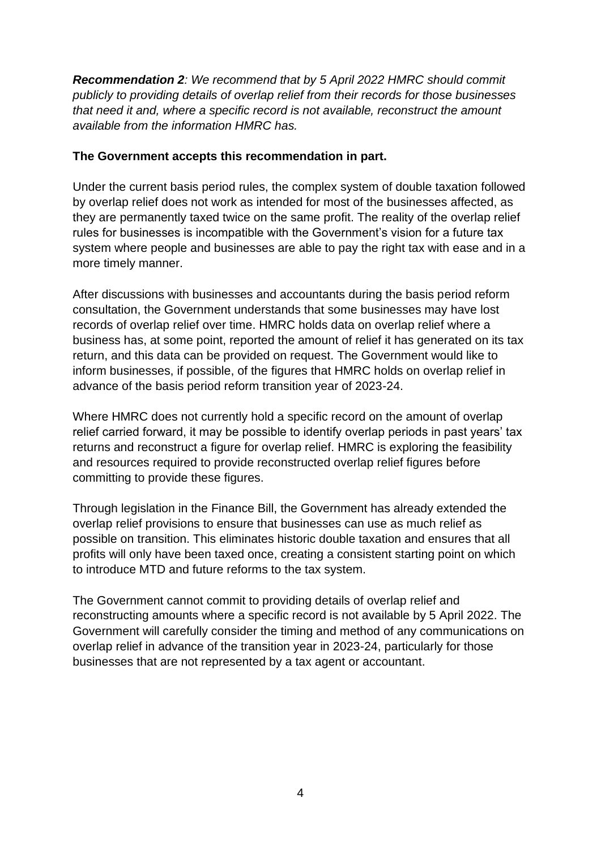*Recommendation 2: We recommend that by 5 April 2022 HMRC should commit publicly to providing details of overlap relief from their records for those businesses that need it and, where a specific record is not available, reconstruct the amount available from the information HMRC has.*

#### **The Government accepts this recommendation in part.**

Under the current basis period rules, the complex system of double taxation followed by overlap relief does not work as intended for most of the businesses affected, as they are permanently taxed twice on the same profit. The reality of the overlap relief rules for businesses is incompatible with the Government's vision for a future tax system where people and businesses are able to pay the right tax with ease and in a more timely manner.

After discussions with businesses and accountants during the basis period reform consultation, the Government understands that some businesses may have lost records of overlap relief over time. HMRC holds data on overlap relief where a business has, at some point, reported the amount of relief it has generated on its tax return, and this data can be provided on request. The Government would like to inform businesses, if possible, of the figures that HMRC holds on overlap relief in advance of the basis period reform transition year of 2023-24.

Where HMRC does not currently hold a specific record on the amount of overlap relief carried forward, it may be possible to identify overlap periods in past years' tax returns and reconstruct a figure for overlap relief. HMRC is exploring the feasibility and resources required to provide reconstructed overlap relief figures before committing to provide these figures.

Through legislation in the Finance Bill, the Government has already extended the overlap relief provisions to ensure that businesses can use as much relief as possible on transition. This eliminates historic double taxation and ensures that all profits will only have been taxed once, creating a consistent starting point on which to introduce MTD and future reforms to the tax system.

The Government cannot commit to providing details of overlap relief and reconstructing amounts where a specific record is not available by 5 April 2022. The Government will carefully consider the timing and method of any communications on overlap relief in advance of the transition year in 2023-24, particularly for those businesses that are not represented by a tax agent or accountant.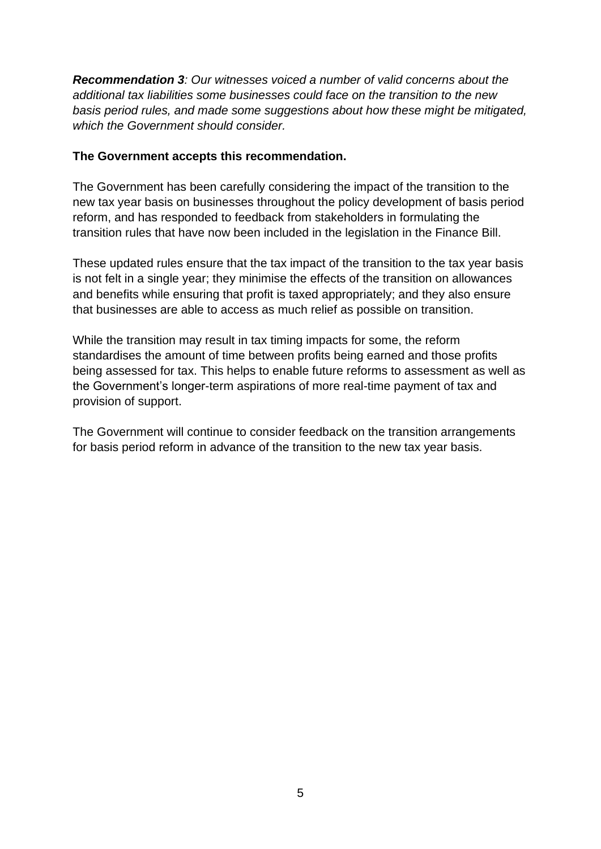*Recommendation 3: Our witnesses voiced a number of valid concerns about the additional tax liabilities some businesses could face on the transition to the new basis period rules, and made some suggestions about how these might be mitigated, which the Government should consider.*

#### **The Government accepts this recommendation.**

The Government has been carefully considering the impact of the transition to the new tax year basis on businesses throughout the policy development of basis period reform, and has responded to feedback from stakeholders in formulating the transition rules that have now been included in the legislation in the Finance Bill.

These updated rules ensure that the tax impact of the transition to the tax year basis is not felt in a single year; they minimise the effects of the transition on allowances and benefits while ensuring that profit is taxed appropriately; and they also ensure that businesses are able to access as much relief as possible on transition.

While the transition may result in tax timing impacts for some, the reform standardises the amount of time between profits being earned and those profits being assessed for tax. This helps to enable future reforms to assessment as well as the Government's longer-term aspirations of more real-time payment of tax and provision of support.

The Government will continue to consider feedback on the transition arrangements for basis period reform in advance of the transition to the new tax year basis.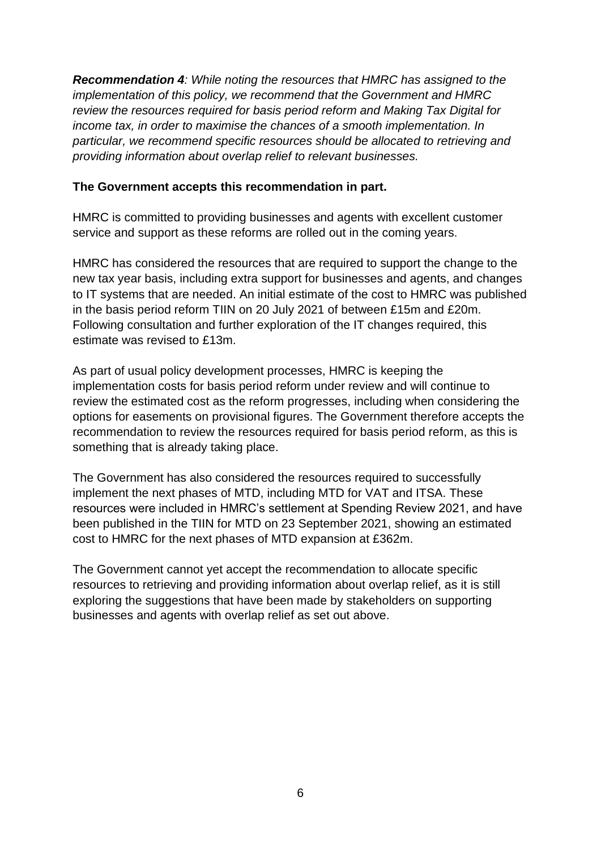*Recommendation 4: While noting the resources that HMRC has assigned to the implementation of this policy, we recommend that the Government and HMRC review the resources required for basis period reform and Making Tax Digital for income tax, in order to maximise the chances of a smooth implementation. In particular, we recommend specific resources should be allocated to retrieving and providing information about overlap relief to relevant businesses.*

#### **The Government accepts this recommendation in part.**

HMRC is committed to providing businesses and agents with excellent customer service and support as these reforms are rolled out in the coming years.

HMRC has considered the resources that are required to support the change to the new tax year basis, including extra support for businesses and agents, and changes to IT systems that are needed. An initial estimate of the cost to HMRC was published in the basis period reform TIIN on 20 July 2021 of between £15m and £20m. Following consultation and further exploration of the IT changes required, this estimate was revised to £13m.

As part of usual policy development processes, HMRC is keeping the implementation costs for basis period reform under review and will continue to review the estimated cost as the reform progresses, including when considering the options for easements on provisional figures. The Government therefore accepts the recommendation to review the resources required for basis period reform, as this is something that is already taking place.

The Government has also considered the resources required to successfully implement the next phases of MTD, including MTD for VAT and ITSA. These resources were included in HMRC's settlement at Spending Review 2021, and have been published in the TIIN for MTD on 23 September 2021, showing an estimated cost to HMRC for the next phases of MTD expansion at £362m.

The Government cannot yet accept the recommendation to allocate specific resources to retrieving and providing information about overlap relief, as it is still exploring the suggestions that have been made by stakeholders on supporting businesses and agents with overlap relief as set out above.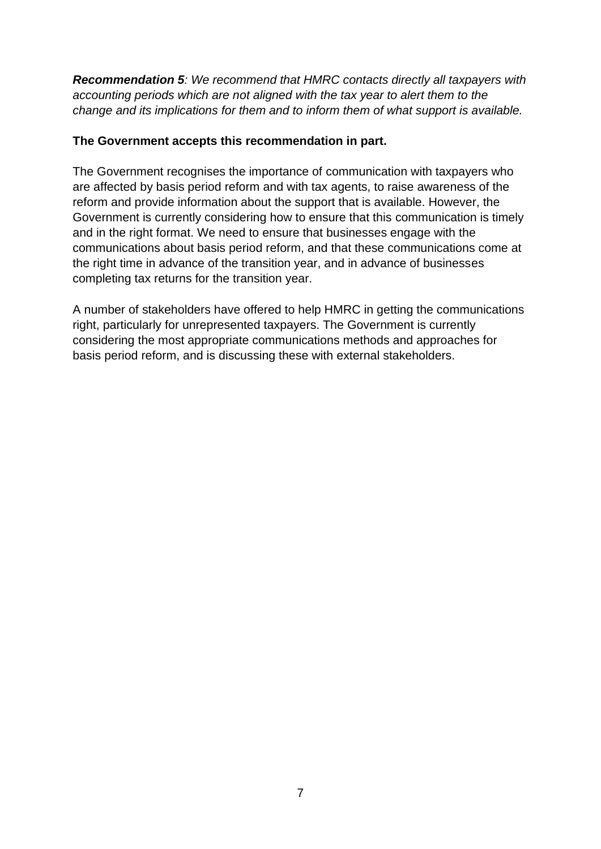*Recommendation 5: We recommend that HMRC contacts directly all taxpayers with accounting periods which are not aligned with the tax year to alert them to the change and its implications for them and to inform them of what support is available.*

#### **The Government accepts this recommendation in part.**

The Government recognises the importance of communication with taxpayers who are affected by basis period reform and with tax agents, to raise awareness of the reform and provide information about the support that is available. However, the Government is currently considering how to ensure that this communication is timely and in the right format. We need to ensure that businesses engage with the communications about basis period reform, and that these communications come at the right time in advance of the transition year, and in advance of businesses completing tax returns for the transition year.

A number of stakeholders have offered to help HMRC in getting the communications right, particularly for unrepresented taxpayers. The Government is currently considering the most appropriate communications methods and approaches for basis period reform, and is discussing these with external stakeholders.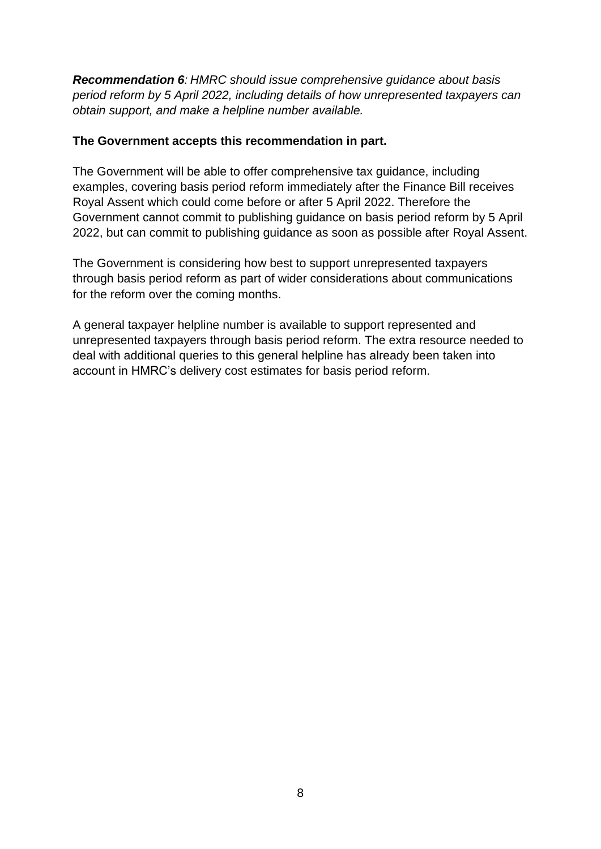*Recommendation 6: HMRC should issue comprehensive guidance about basis period reform by 5 April 2022, including details of how unrepresented taxpayers can obtain support, and make a helpline number available.*

#### **The Government accepts this recommendation in part.**

The Government will be able to offer comprehensive tax guidance, including examples, covering basis period reform immediately after the Finance Bill receives Royal Assent which could come before or after 5 April 2022. Therefore the Government cannot commit to publishing guidance on basis period reform by 5 April 2022, but can commit to publishing guidance as soon as possible after Royal Assent.

The Government is considering how best to support unrepresented taxpayers through basis period reform as part of wider considerations about communications for the reform over the coming months.

A general taxpayer helpline number is available to support represented and unrepresented taxpayers through basis period reform. The extra resource needed to deal with additional queries to this general helpline has already been taken into account in HMRC's delivery cost estimates for basis period reform.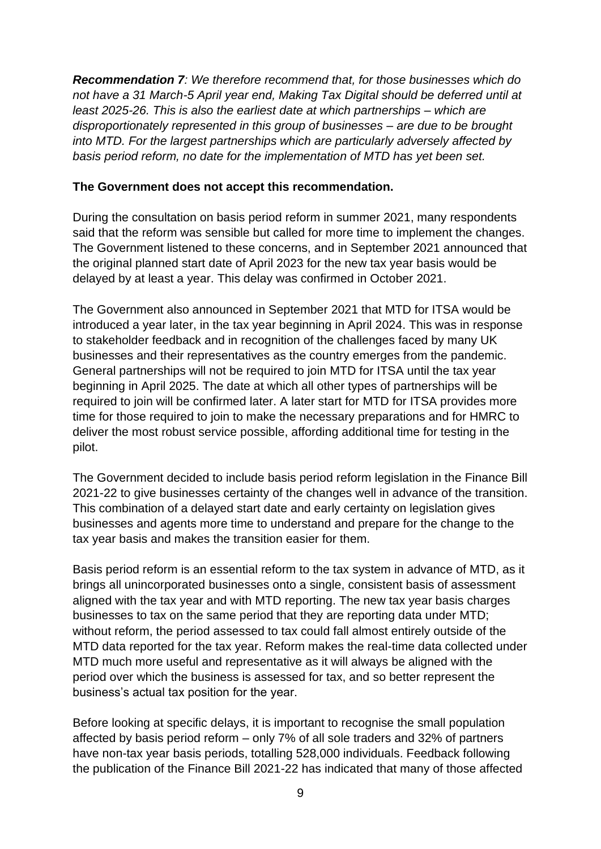*Recommendation 7: We therefore recommend that, for those businesses which do not have a 31 March-5 April year end, Making Tax Digital should be deferred until at least 2025-26. This is also the earliest date at which partnerships – which are disproportionately represented in this group of businesses – are due to be brought into MTD. For the largest partnerships which are particularly adversely affected by basis period reform, no date for the implementation of MTD has yet been set.*

#### **The Government does not accept this recommendation.**

During the consultation on basis period reform in summer 2021, many respondents said that the reform was sensible but called for more time to implement the changes. The Government listened to these concerns, and in September 2021 announced that the original planned start date of April 2023 for the new tax year basis would be delayed by at least a year. This delay was confirmed in October 2021.

The Government also announced in September 2021 that MTD for ITSA would be introduced a year later, in the tax year beginning in April 2024. This was in response to stakeholder feedback and in recognition of the challenges faced by many UK businesses and their representatives as the country emerges from the pandemic. General partnerships will not be required to join MTD for ITSA until the tax year beginning in April 2025. The date at which all other types of partnerships will be required to join will be confirmed later. A later start for MTD for ITSA provides more time for those required to join to make the necessary preparations and for HMRC to deliver the most robust service possible, affording additional time for testing in the pilot.

The Government decided to include basis period reform legislation in the Finance Bill 2021-22 to give businesses certainty of the changes well in advance of the transition. This combination of a delayed start date and early certainty on legislation gives businesses and agents more time to understand and prepare for the change to the tax year basis and makes the transition easier for them.

Basis period reform is an essential reform to the tax system in advance of MTD, as it brings all unincorporated businesses onto a single, consistent basis of assessment aligned with the tax year and with MTD reporting. The new tax year basis charges businesses to tax on the same period that they are reporting data under MTD; without reform, the period assessed to tax could fall almost entirely outside of the MTD data reported for the tax year. Reform makes the real-time data collected under MTD much more useful and representative as it will always be aligned with the period over which the business is assessed for tax, and so better represent the business's actual tax position for the year.

Before looking at specific delays, it is important to recognise the small population affected by basis period reform – only 7% of all sole traders and 32% of partners have non-tax year basis periods, totalling 528,000 individuals. Feedback following the publication of the Finance Bill 2021-22 has indicated that many of those affected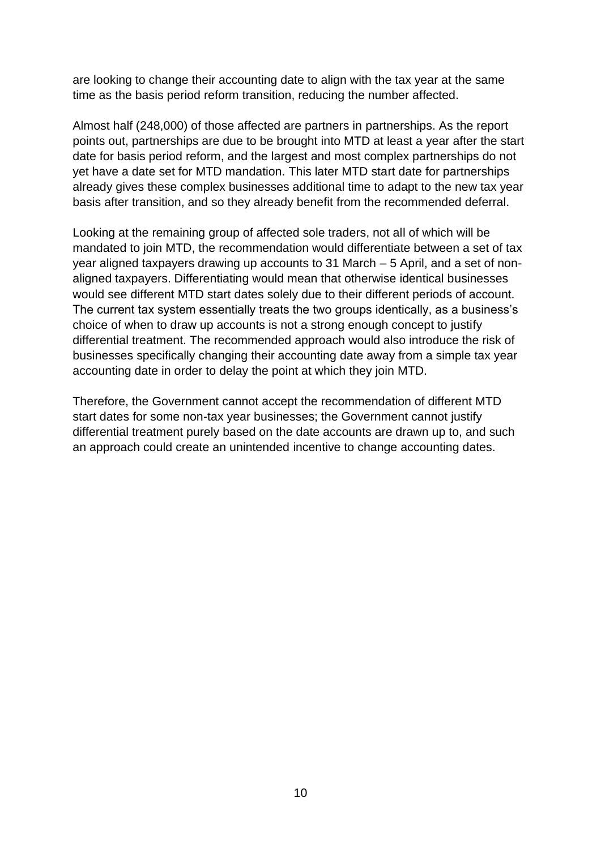are looking to change their accounting date to align with the tax year at the same time as the basis period reform transition, reducing the number affected.

Almost half (248,000) of those affected are partners in partnerships. As the report points out, partnerships are due to be brought into MTD at least a year after the start date for basis period reform, and the largest and most complex partnerships do not yet have a date set for MTD mandation. This later MTD start date for partnerships already gives these complex businesses additional time to adapt to the new tax year basis after transition, and so they already benefit from the recommended deferral.

Looking at the remaining group of affected sole traders, not all of which will be mandated to join MTD, the recommendation would differentiate between a set of tax year aligned taxpayers drawing up accounts to 31 March – 5 April, and a set of nonaligned taxpayers. Differentiating would mean that otherwise identical businesses would see different MTD start dates solely due to their different periods of account. The current tax system essentially treats the two groups identically, as a business's choice of when to draw up accounts is not a strong enough concept to justify differential treatment. The recommended approach would also introduce the risk of businesses specifically changing their accounting date away from a simple tax year accounting date in order to delay the point at which they join MTD.

Therefore, the Government cannot accept the recommendation of different MTD start dates for some non-tax year businesses; the Government cannot justify differential treatment purely based on the date accounts are drawn up to, and such an approach could create an unintended incentive to change accounting dates.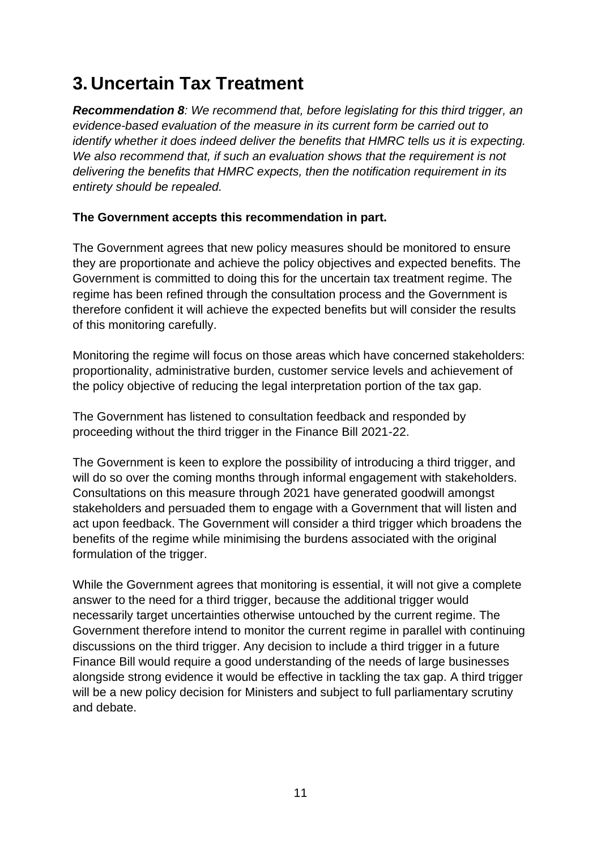## <span id="page-12-0"></span>**3. Uncertain Tax Treatment**

*Recommendation 8: We recommend that, before legislating for this third trigger, an evidence-based evaluation of the measure in its current form be carried out to identify whether it does indeed deliver the benefits that HMRC tells us it is expecting.*  We also recommend that, if such an evaluation shows that the requirement is not *delivering the benefits that HMRC expects, then the notification requirement in its entirety should be repealed.*

#### **The Government accepts this recommendation in part.**

The Government agrees that new policy measures should be monitored to ensure they are proportionate and achieve the policy objectives and expected benefits. The Government is committed to doing this for the uncertain tax treatment regime. The regime has been refined through the consultation process and the Government is therefore confident it will achieve the expected benefits but will consider the results of this monitoring carefully.

Monitoring the regime will focus on those areas which have concerned stakeholders: proportionality, administrative burden, customer service levels and achievement of the policy objective of reducing the legal interpretation portion of the tax gap.

The Government has listened to consultation feedback and responded by proceeding without the third trigger in the Finance Bill 2021-22.

The Government is keen to explore the possibility of introducing a third trigger, and will do so over the coming months through informal engagement with stakeholders. Consultations on this measure through 2021 have generated goodwill amongst stakeholders and persuaded them to engage with a Government that will listen and act upon feedback. The Government will consider a third trigger which broadens the benefits of the regime while minimising the burdens associated with the original formulation of the trigger.

While the Government agrees that monitoring is essential, it will not give a complete answer to the need for a third trigger, because the additional trigger would necessarily target uncertainties otherwise untouched by the current regime. The Government therefore intend to monitor the current regime in parallel with continuing discussions on the third trigger. Any decision to include a third trigger in a future Finance Bill would require a good understanding of the needs of large businesses alongside strong evidence it would be effective in tackling the tax gap. A third trigger will be a new policy decision for Ministers and subject to full parliamentary scrutiny and debate.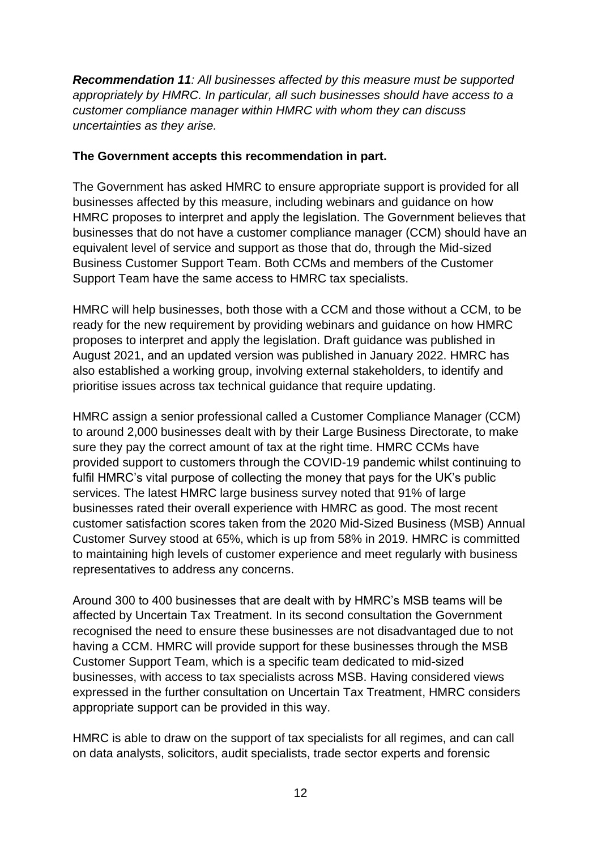*Recommendation 11: All businesses affected by this measure must be supported appropriately by HMRC. In particular, all such businesses should have access to a customer compliance manager within HMRC with whom they can discuss uncertainties as they arise.*

#### **The Government accepts this recommendation in part.**

The Government has asked HMRC to ensure appropriate support is provided for all businesses affected by this measure, including webinars and guidance on how HMRC proposes to interpret and apply the legislation. The Government believes that businesses that do not have a customer compliance manager (CCM) should have an equivalent level of service and support as those that do, through the Mid-sized Business Customer Support Team. Both CCMs and members of the Customer Support Team have the same access to HMRC tax specialists.

HMRC will help businesses, both those with a CCM and those without a CCM, to be ready for the new requirement by providing webinars and guidance on how HMRC proposes to interpret and apply the legislation. Draft guidance was published in August 2021, and an updated version was published in January 2022. HMRC has also established a working group, involving external stakeholders, to identify and prioritise issues across tax technical guidance that require updating.

HMRC assign a senior professional called a Customer Compliance Manager (CCM) to around 2,000 businesses dealt with by their Large Business Directorate, to make sure they pay the correct amount of tax at the right time. HMRC CCMs have provided support to customers through the COVID-19 pandemic whilst continuing to fulfil HMRC's vital purpose of collecting the money that pays for the UK's public services. The latest HMRC large business survey noted that 91% of large businesses rated their overall experience with HMRC as good. The most recent customer satisfaction scores taken from the 2020 Mid-Sized Business (MSB) Annual Customer Survey stood at 65%, which is up from 58% in 2019. HMRC is committed to maintaining high levels of customer experience and meet regularly with business representatives to address any concerns.

Around 300 to 400 businesses that are dealt with by HMRC's MSB teams will be affected by Uncertain Tax Treatment. In its second consultation the Government recognised the need to ensure these businesses are not disadvantaged due to not having a CCM. HMRC will provide support for these businesses through the MSB Customer Support Team, which is a specific team dedicated to mid-sized businesses, with access to tax specialists across MSB. Having considered views expressed in the further consultation on Uncertain Tax Treatment, HMRC considers appropriate support can be provided in this way.

HMRC is able to draw on the support of tax specialists for all regimes, and can call on data analysts, solicitors, audit specialists, trade sector experts and forensic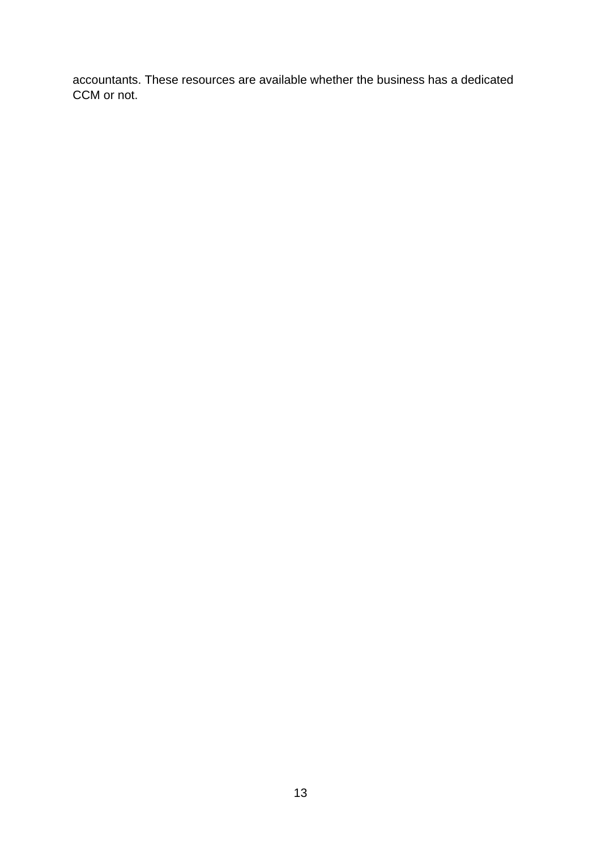accountants. These resources are available whether the business has a dedicated CCM or not.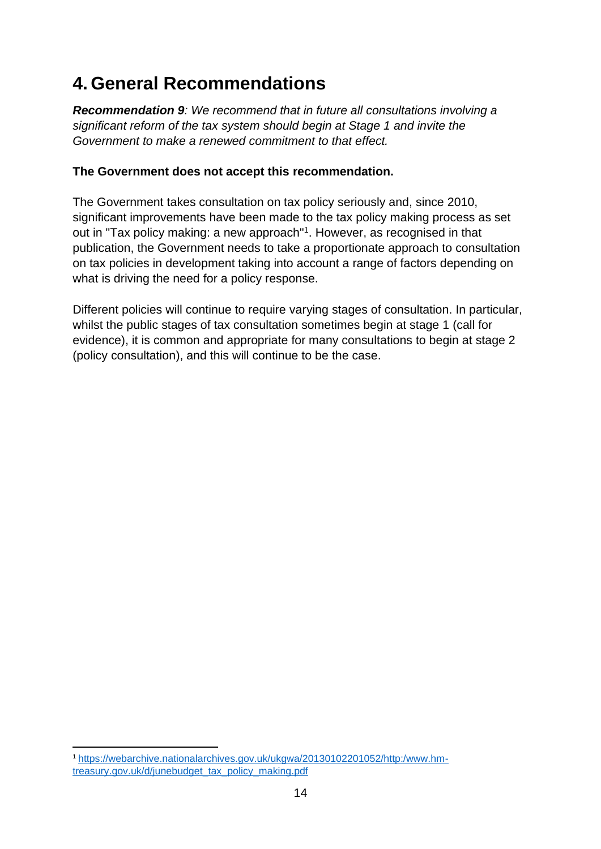## <span id="page-15-0"></span>**4. General Recommendations**

*Recommendation 9: We recommend that in future all consultations involving a significant reform of the tax system should begin at Stage 1 and invite the Government to make a renewed commitment to that effect.*

#### **The Government does not accept this recommendation.**

The Government takes consultation on tax policy seriously and, since 2010, significant improvements have been made to the tax policy making process as set out in "Tax policy making: a new approach"<sup>1</sup>. However, as recognised in that publication, the Government needs to take a proportionate approach to consultation on tax policies in development taking into account a range of factors depending on what is driving the need for a policy response.

Different policies will continue to require varying stages of consultation. In particular, whilst the public stages of tax consultation sometimes begin at stage 1 (call for evidence), it is common and appropriate for many consultations to begin at stage 2 (policy consultation), and this will continue to be the case.

<sup>1</sup> [https://webarchive.nationalarchives.gov.uk/ukgwa/20130102201052/http:/www.hm](https://webarchive.nationalarchives.gov.uk/ukgwa/20130102201052/http:/www.hm-treasury.gov.uk/d/junebudget_tax_policy_making.pdf)[treasury.gov.uk/d/junebudget\\_tax\\_policy\\_making.pdf](https://webarchive.nationalarchives.gov.uk/ukgwa/20130102201052/http:/www.hm-treasury.gov.uk/d/junebudget_tax_policy_making.pdf)